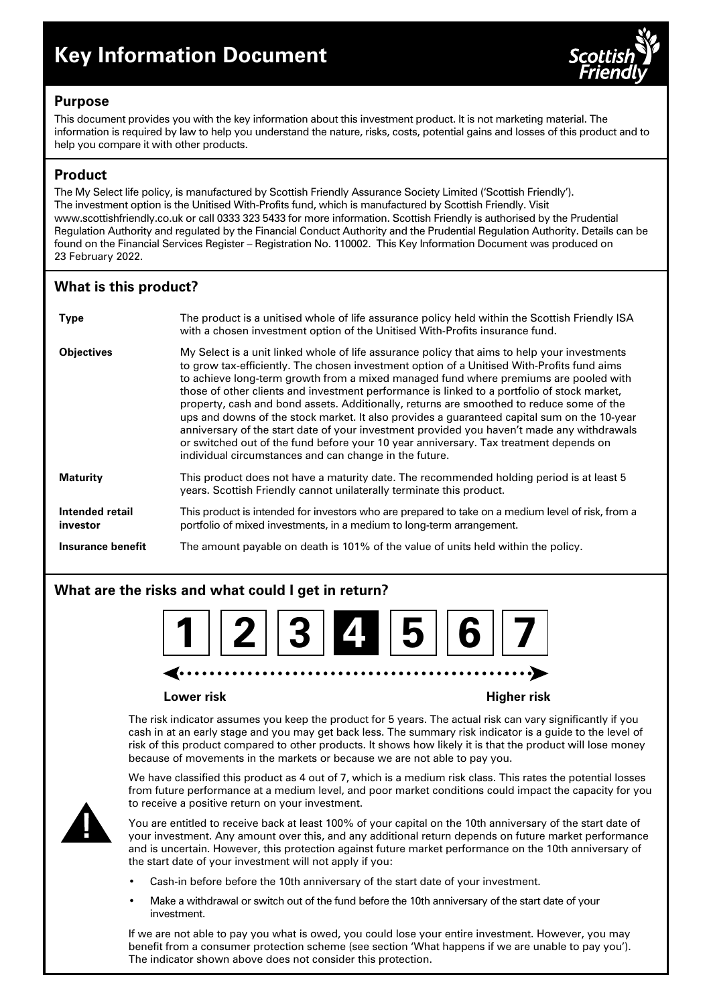

## **Purpose**

This document provides you with the key information about this investment product. It is not marketing material. The information is required by law to help you understand the nature, risks, costs, potential gains and losses of this product and to help you compare it with other products.

## **Product**

The My Select life policy, is manufactured by Scottish Friendly Assurance Society Limited ('Scottish Friendly'). The investment option is the Unitised With-Profits fund, which is manufactured by Scottish Friendly. Visit www.scottishfriendly.co.uk or call 0333 323 5433 for more information. Scottish Friendly is authorised by the Prudential Regulation Authority and regulated by the Financial Conduct Authority and the Prudential Regulation Authority. Details can be found on the Financial Services Register – Registration No. 110002. This Key Information Document was produced on 23 February 2022.

# **What is this product?**

| <b>Type</b>                 | The product is a unitised whole of life assurance policy held within the Scottish Friendly ISA<br>with a chosen investment option of the Unitised With-Profits insurance fund.                                                                                                                                                                                                                                                                                                                                                                                                                                                                                                                                                                                                                                                |
|-----------------------------|-------------------------------------------------------------------------------------------------------------------------------------------------------------------------------------------------------------------------------------------------------------------------------------------------------------------------------------------------------------------------------------------------------------------------------------------------------------------------------------------------------------------------------------------------------------------------------------------------------------------------------------------------------------------------------------------------------------------------------------------------------------------------------------------------------------------------------|
| <b>Objectives</b>           | My Select is a unit linked whole of life assurance policy that aims to help your investments<br>to grow tax-efficiently. The chosen investment option of a Unitised With-Profits fund aims<br>to achieve long-term growth from a mixed managed fund where premiums are pooled with<br>those of other clients and investment performance is linked to a portfolio of stock market,<br>property, cash and bond assets. Additionally, returns are smoothed to reduce some of the<br>ups and downs of the stock market. It also provides a guaranteed capital sum on the 10-year<br>anniversary of the start date of your investment provided you haven't made any withdrawals<br>or switched out of the fund before your 10 year anniversary. Tax treatment depends on<br>individual circumstances and can change in the future. |
| <b>Maturity</b>             | This product does not have a maturity date. The recommended holding period is at least 5<br>years. Scottish Friendly cannot unilaterally terminate this product.                                                                                                                                                                                                                                                                                                                                                                                                                                                                                                                                                                                                                                                              |
| Intended retail<br>investor | This product is intended for investors who are prepared to take on a medium level of risk, from a<br>portfolio of mixed investments, in a medium to long-term arrangement.                                                                                                                                                                                                                                                                                                                                                                                                                                                                                                                                                                                                                                                    |
| Insurance benefit           | The amount payable on death is 101% of the value of units held within the policy.                                                                                                                                                                                                                                                                                                                                                                                                                                                                                                                                                                                                                                                                                                                                             |

# **What are the risks and what could I get in return?**



#### **Lower risk Higher risk**

The risk indicator assumes you keep the product for 5 years. The actual risk can vary significantly if you cash in at an early stage and you may get back less. The summary risk indicator is a guide to the level of risk of this product compared to other products. It shows how likely it is that the product will lose money because of movements in the markets or because we are not able to pay you.

We have classified this product as 4 out of 7, which is a medium risk class. This rates the potential losses from future performance at a medium level, and poor market conditions could impact the capacity for you to receive a positive return on your investment.



You are entitled to receive back at least 100% of your capital on the 10th anniversary of the start date of your investment. Any amount over this, and any additional return depends on future market performance and is uncertain. However, this protection against future market performance on the 10th anniversary of the start date of your investment will not apply if you:

- Cash-in before before the 10th anniversary of the start date of your investment.
- Make a withdrawal or switch out of the fund before the 10th anniversary of the start date of your investment.

If we are not able to pay you what is owed, you could lose your entire investment. However, you may benefit from a consumer protection scheme (see section 'What happens if we are unable to pay you'). The indicator shown above does not consider this protection.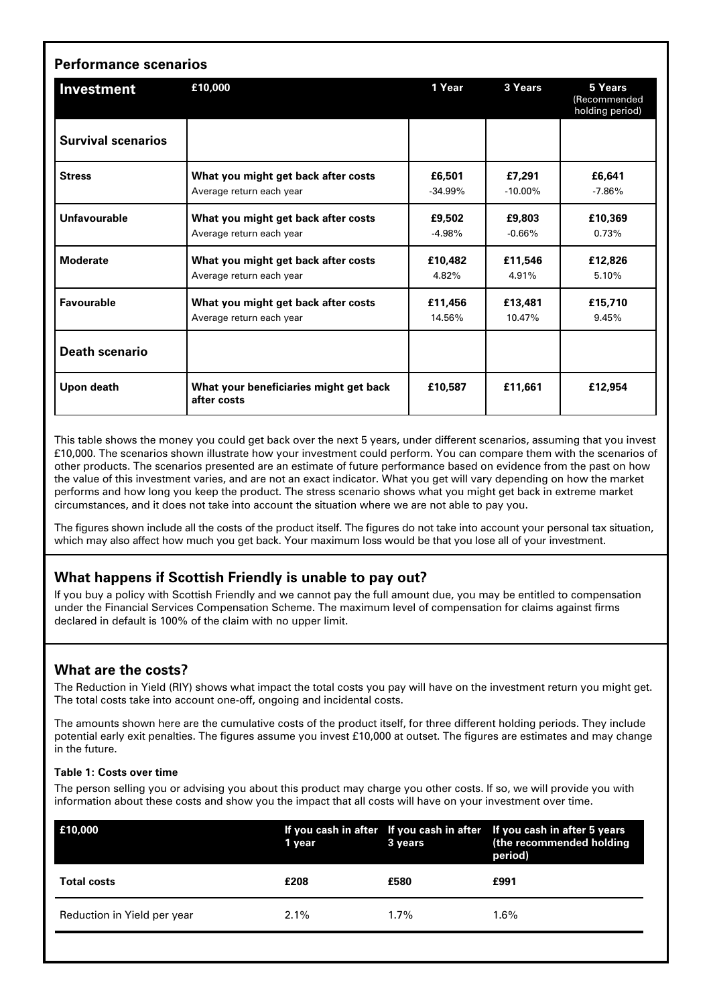| Investment                | £10,000                                               | 1 Year    | 3 Years    | 5 Years<br>(Recommended<br>holding period) |
|---------------------------|-------------------------------------------------------|-----------|------------|--------------------------------------------|
| <b>Survival scenarios</b> |                                                       |           |            |                                            |
| <b>Stress</b>             | What you might get back after costs                   | £6,501    | £7,291     | £6,641                                     |
|                           | Average return each year                              | $-34.99%$ | $-10.00\%$ | $-7.86\%$                                  |
| Unfavourable              | What you might get back after costs                   | £9,502    | £9,803     | £10,369                                    |
|                           | Average return each year                              | $-4.98%$  | $-0.66%$   | 0.73%                                      |
| <b>Moderate</b>           | What you might get back after costs                   | £10,482   | £11,546    | £12,826                                    |
|                           | Average return each year                              | 4.82%     | 4.91%      | 5.10%                                      |
| <b>Favourable</b>         | What you might get back after costs                   | £11,456   | £13,481    | £15,710                                    |
|                           | Average return each year                              | 14.56%    | 10.47%     | 9.45%                                      |
| <b>Death scenario</b>     |                                                       |           |            |                                            |
| Upon death                | What your beneficiaries might get back<br>after costs | £10.587   | £11,661    | £12,954                                    |

This table shows the money you could get back over the next 5 years, under different scenarios, assuming that you invest £10,000. The scenarios shown illustrate how your investment could perform. You can compare them with the scenarios of other products. The scenarios presented are an estimate of future performance based on evidence from the past on how the value of this investment varies, and are not an exact indicator. What you get will vary depending on how the market performs and how long you keep the product. The stress scenario shows what you might get back in extreme market circumstances, and it does not take into account the situation where we are not able to pay you.

The figures shown include all the costs of the product itself. The figures do not take into account your personal tax situation, which may also affect how much you get back. Your maximum loss would be that you lose all of your investment.

### **What happens if Scottish Friendly is unable to pay out?**

If you buy a policy with Scottish Friendly and we cannot pay the full amount due, you may be entitled to compensation under the Financial Services Compensation Scheme. The maximum level of compensation for claims against firms declared in default is 100% of the claim with no upper limit.

### **What are the costs?**

The Reduction in Yield (RIY) shows what impact the total costs you pay will have on the investment return you might get. The total costs take into account one-off, ongoing and incidental costs.

The amounts shown here are the cumulative costs of the product itself, for three different holding periods. They include potential early exit penalties. The figures assume you invest £10,000 at outset. The figures are estimates and may change in the future.

#### **Table 1: Costs over time**

The person selling you or advising you about this product may charge you other costs. If so, we will provide you with information about these costs and show you the impact that all costs will have on your investment over time.

| £10,000                     | 1 year  | 3 years | If you cash in after If you cash in after If you cash in after 5 years<br>(the recommended holding<br>period) |
|-----------------------------|---------|---------|---------------------------------------------------------------------------------------------------------------|
| <b>Total costs</b>          | £208    | £580    | £991                                                                                                          |
| Reduction in Yield per year | $2.1\%$ | $1.7\%$ | 1.6%                                                                                                          |